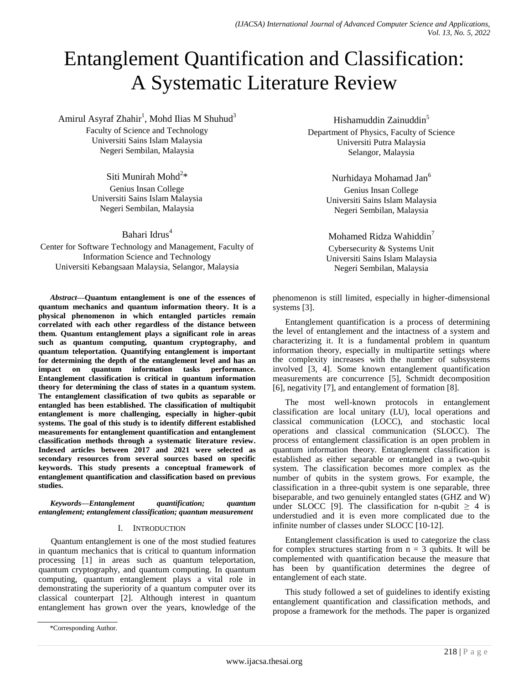# Entanglement Quantification and Classification: A Systematic Literature Review

Amirul Asyraf Zhahir<sup>1</sup>, Mohd Ilias M Shuhud<sup>3</sup> Faculty of Science and Technology Universiti Sains Islam Malaysia Negeri Sembilan, Malaysia

> Siti Munirah Mohd<sup>2</sup>\* Genius Insan College Universiti Sains Islam Malaysia Negeri Sembilan, Malaysia

> > Bahari Idrus<sup>4</sup>

Center for Software Technology and Management, Faculty of Information Science and Technology Universiti Kebangsaan Malaysia, Selangor, Malaysia

*Abstract***—Quantum entanglement is one of the essences of quantum mechanics and quantum information theory. It is a physical phenomenon in which entangled particles remain correlated with each other regardless of the distance between them. Quantum entanglement plays a significant role in areas such as quantum computing, quantum cryptography, and quantum teleportation. Quantifying entanglement is important for determining the depth of the entanglement level and has an impact on quantum information tasks performance. Entanglement classification is critical in quantum information theory for determining the class of states in a quantum system. The entanglement classification of two qubits as separable or entangled has been established. The classification of multiqubit entanglement is more challenging, especially in higher-qubit systems. The goal of this study is to identify different established measurements for entanglement quantification and entanglement classification methods through a systematic literature review. Indexed articles between 2017 and 2021 were selected as secondary resources from several sources based on specific keywords. This study presents a conceptual framework of entanglement quantification and classification based on previous studies.**

*Keywords—Entanglement quantification; quantum entanglement; entanglement classification; quantum measurement*

#### I. INTRODUCTION

Quantum entanglement is one of the most studied features in quantum mechanics that is critical to quantum information processing [1] in areas such as quantum teleportation, quantum cryptography, and quantum computing. In quantum computing, quantum entanglement plays a vital role in demonstrating the superiority of a quantum computer over its classical counterpart [2]. Although interest in quantum entanglement has grown over the years, knowledge of the

Hishamuddin Zainuddin<sup>5</sup> Department of Physics, Faculty of Science Universiti Putra Malaysia Selangor, Malaysia

> Nurhidaya Mohamad Jan<sup>6</sup> Genius Insan College Universiti Sains Islam Malaysia Negeri Sembilan, Malaysia

Mohamed Ridza Wahiddin<sup>7</sup> Cybersecurity & Systems Unit Universiti Sains Islam Malaysia Negeri Sembilan, Malaysia

phenomenon is still limited, especially in higher-dimensional systems [3].

Entanglement quantification is a process of determining the level of entanglement and the intactness of a system and characterizing it. It is a fundamental problem in quantum information theory, especially in multipartite settings where the complexity increases with the number of subsystems involved [3, 4]. Some known entanglement quantification measurements are concurrence [5], Schmidt decomposition [6], negativity [7], and entanglement of formation [8].

The most well-known protocols in entanglement classification are local unitary (LU), local operations and classical communication (LOCC), and stochastic local operations and classical communication (SLOCC). The process of entanglement classification is an open problem in quantum information theory. Entanglement classification is established as either separable or entangled in a two-qubit system. The classification becomes more complex as the number of qubits in the system grows. For example, the classification in a three-qubit system is one separable, three biseparable, and two genuinely entangled states (GHZ and W) under SLOCC [9]. The classification for n-qubit  $\geq 4$  is understudied and it is even more complicated due to the infinite number of classes under SLOCC [10-12].

Entanglement classification is used to categorize the class for complex structures starting from  $n = 3$  qubits. It will be complemented with quantification because the measure that has been by quantification determines the degree of entanglement of each state.

This study followed a set of guidelines to identify existing entanglement quantification and classification methods, and propose a framework for the methods. The paper is organized

<sup>\*</sup>Corresponding Author.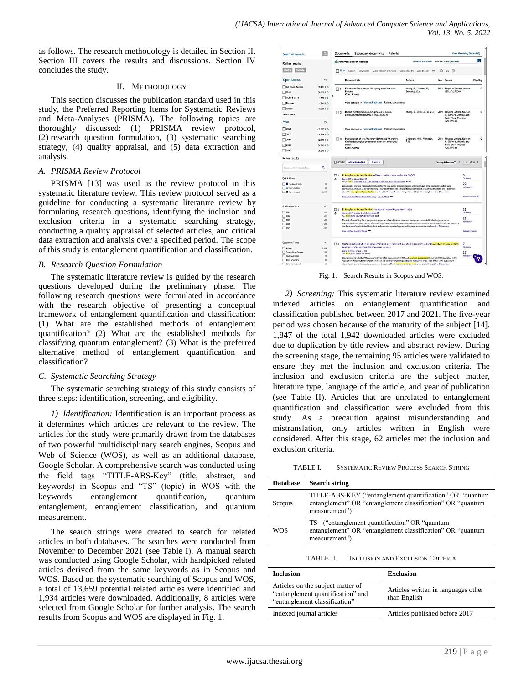as follows. The research methodology is detailed in Section II. Section III covers the results and discussions. Section IV concludes the study.

## II. METHODOLOGY

This section discusses the publication standard used in this study, the Preferred Reporting Items for Systematic Reviews and Meta-Analyses (PRISMA). The following topics are thoroughly discussed: (1) PRISMA review protocol, (2) research question formulation, (3) systematic searching strategy, (4) quality appraisal, and (5) data extraction and analysis.

## *A. PRISMA Review Protocol*

PRISMA [13] was used as the review protocol in this systematic literature review. This review protocol served as a guideline for conducting a systematic literature review by formulating research questions, identifying the inclusion and exclusion criteria in a systematic searching strategy, conducting a quality appraisal of selected articles, and critical data extraction and analysis over a specified period. The scope of this study is entanglement quantification and classification.

# *B. Research Question Formulation*

The systematic literature review is guided by the research questions developed during the preliminary phase. The following research questions were formulated in accordance with the research objective of presenting a conceptual framework of entanglement quantification and classification: (1) What are the established methods of entanglement quantification? (2) What are the established methods for classifying quantum entanglement? (3) What is the preferred alternative method of entanglement quantification and classification?

# *C. Systematic Searching Strategy*

The systematic searching strategy of this study consists of three steps: identification, screening, and eligibility.

*1) Identification:* Identification is an important process as it determines which articles are relevant to the review. The articles for the study were primarily drawn from the databases of two powerful multidisciplinary search engines, Scopus and Web of Science (WOS), as well as an additional database, Google Scholar. A comprehensive search was conducted using the field tags "TITLE-ABS-Key" (title, abstract, and keywords) in Scopus and "TS" (topic) in WOS with the keywords entanglement quantification, quantum entanglement, entanglement classification, and quantum measurement.

The search strings were created to search for related articles in both databases. The searches were conducted from November to December 2021 (see Table I). A manual search was conducted using Google Scholar, with handpicked related articles derived from the same keywords as in Scopus and WOS. Based on the systematic searching of Scopus and WOS, a total of 13,659 potential related articles were identified and 1,934 articles were downloaded. Additionally, 8 articles were selected from Google Scholar for further analysis. The search results from Scopus and WOS are displayed in Fig. 1.

| Search within results.                                                                               | $\alpha$                            | Documents<br>Secondary documents<br>Patents                                                                                                                                                                                                                                                                                                                                                                                                                                                                                                                                                           | View Mendeley Data (435) |  |  |  |  |  |
|------------------------------------------------------------------------------------------------------|-------------------------------------|-------------------------------------------------------------------------------------------------------------------------------------------------------------------------------------------------------------------------------------------------------------------------------------------------------------------------------------------------------------------------------------------------------------------------------------------------------------------------------------------------------------------------------------------------------------------------------------------------------|--------------------------|--|--|--|--|--|
| Refine results                                                                                       |                                     | tla Analyze search results<br>Show all abstracts Sort on: Date (newest)                                                                                                                                                                                                                                                                                                                                                                                                                                                                                                                               | l v                      |  |  |  |  |  |
| <b>Barriet</b>                                                                                       |                                     | $\neg$ All $\vee$<br>Export Download View citation overview View cited by Add to List ***<br>o<br>四川                                                                                                                                                                                                                                                                                                                                                                                                                                                                                                  |                          |  |  |  |  |  |
| <b>Open Access</b>                                                                                   | $\hat{\phantom{a}}$                 | Document title<br>Authors<br>Year Source                                                                                                                                                                                                                                                                                                                                                                                                                                                                                                                                                              | Cited by                 |  |  |  |  |  |
| All Open Access<br>$\Box$ Gold<br>Hybrid Gold                                                        | $(6.801)$ ><br>$(1.605)$ ><br>(448) | Enhanced Electro-optic Sampling with Quantum<br>Virally, S., Cusson, P.,<br>2021 Physical Review Letters<br>n,<br>Seletskiy, D.V.<br>127(27) 270504<br>Probes<br><b>Coen Access</b>                                                                                                                                                                                                                                                                                                                                                                                                                   | $\theta$                 |  |  |  |  |  |
| Bronze                                                                                               | $(740)$ >                           | View abstract ~ View at Publisher Related documents                                                                                                                                                                                                                                                                                                                                                                                                                                                                                                                                                   |                          |  |  |  |  |  |
| Green<br>Learn more                                                                                  | $(6.038)$ >                         | Zhang, J., Lv, C.-P., Li, Y.-C. 2021 Physics Letters, Section<br>Detect topological quantum phases in a one-<br>$\Box$ 2<br>dimensional interactional fermion system<br>A: General. Atomic and<br>Sold State Physics                                                                                                                                                                                                                                                                                                                                                                                  | $\circ$                  |  |  |  |  |  |
| Year                                                                                                 | ^                                   | 420.127746                                                                                                                                                                                                                                                                                                                                                                                                                                                                                                                                                                                            |                          |  |  |  |  |  |
| 2021                                                                                                 | (2.365)                             | View abstract < View at Publisher Related documents                                                                                                                                                                                                                                                                                                                                                                                                                                                                                                                                                   |                          |  |  |  |  |  |
| $\Box$ 2020                                                                                          | $(2.326)$ >                         |                                                                                                                                                                                                                                                                                                                                                                                                                                                                                                                                                                                                       |                          |  |  |  |  |  |
| $\Box$ 2019                                                                                          | $(2.315)$ )                         | Cildiroglu, H.O., Yilmazer,<br>2021 Physics Letters, Section<br>Investigation of the Aharonov-Bohm and Aharonov-<br>$\Box$ 3<br>A: General Atomic and<br>Casher topological phases for quantum entangled<br>A.U.                                                                                                                                                                                                                                                                                                                                                                                      |                          |  |  |  |  |  |
| 2018                                                                                                 | $(1943)$ )                          | <b>Sold State Physics</b><br>states<br>420,127753<br>Open Access                                                                                                                                                                                                                                                                                                                                                                                                                                                                                                                                      |                          |  |  |  |  |  |
| 72017                                                                                                | $(1.848)$ >                         |                                                                                                                                                                                                                                                                                                                                                                                                                                                                                                                                                                                                       |                          |  |  |  |  |  |
| Search within results for                                                                            | Q                                   | $\square$ 0/2,862<br>Add To Marked List<br>Sort by Belevance *<br>Esport w<br>$\epsilon$                                                                                                                                                                                                                                                                                                                                                                                                                                                                                                              | $1$ of $58$ $3$          |  |  |  |  |  |
| <b>Quick Filters</b>                                                                                 |                                     | Entanglement classification of four-partite states under the SLOCC<br>$\Box$<br>a<br>Zanal, SM LL JL and Dian, CF                                                                                                                                                                                                                                                                                                                                                                                                                                                                                     | 5<br>Circhines           |  |  |  |  |  |
| <b>D</b> Review Articles<br>O Early Access<br>O Open Access                                          | 74<br>11<br>1,807                   | Aug 11 2017   JOURNAL OF PHYSICS A MATHEMATICAL AND THEORETICAL \$6 (32)<br>22<br>We present a practical classification scheme for the four partite entangled states under stochastic local operations and classical<br>References.<br>communication (SLOCC). By transforming a four-partite state into a triple state set composed of two tripartite states and a bipartite<br>state, the entanglement classification is reduced to the classification of tripartite and bipartite entanglements  Show more<br><b>Related records</b> 7<br>free Submitted Article from Repository View full text *** |                          |  |  |  |  |  |
| <b>Publication Years</b>                                                                             | $\ddot{}$                           |                                                                                                                                                                                                                                                                                                                                                                                                                                                                                                                                                                                                       |                          |  |  |  |  |  |
| $\square$ 2021<br>$\square$ 2020                                                                     | <b>VW</b><br>605                    | Entanglement classification via neural network quantum states<br>$\square$ 2<br>Harney, C. Pirandola, S. L.X Paternostro, M.<br>٠<br>Apr 2020   NEW JOURNAL OF PHYSICS 2214)                                                                                                                                                                                                                                                                                                                                                                                                                          | 11<br>Citations<br>21    |  |  |  |  |  |
| $\square$ 2019<br>$\square$ 2018<br>$\square$ 2017                                                   | SAN<br>543<br>527                   | The task of classifying the entanglement properties of a multipartite quantum state poses a remarkable challenge due to the<br>Belorences<br>exponentially increasing number of ways in which quantum systems can share quantum correlations. Tackling such challenge requires a<br>combination of sophisticated theoretical and computational techniques. In this paper we combine machine is  Show more                                                                                                                                                                                             |                          |  |  |  |  |  |
|                                                                                                      |                                     | Free Full Text from Publisher                                                                                                                                                                                                                                                                                                                                                                                                                                                                                                                                                                         | <b>Related records</b>   |  |  |  |  |  |
|                                                                                                      |                                     |                                                                                                                                                                                                                                                                                                                                                                                                                                                                                                                                                                                                       |                          |  |  |  |  |  |
|                                                                                                      |                                     | 3 Restoring distribution entanglement via environment-assisted measurement and quantum measurement                                                                                                                                                                                                                                                                                                                                                                                                                                                                                                    | 7                        |  |  |  |  |  |
|                                                                                                      | 2.554                               | reversal under various decoherence sources                                                                                                                                                                                                                                                                                                                                                                                                                                                                                                                                                            | Citations                |  |  |  |  |  |
|                                                                                                      | 211                                 | Wang, O. Feng, GE and Li, WJ<br>Oct 2019   LASER PHYSICS 29 (10)                                                                                                                                                                                                                                                                                                                                                                                                                                                                                                                                      | 17                       |  |  |  |  |  |
| Document Types<br>Aticles<br>Proceedings Papers<br><b>Review Articles</b><br><b>TT</b> Book Chapters | 74<br>39                            | We examine the validity of the environment assisted measurement (EAM) and quantum measurement reversal (OMR) operation in the<br>restoration of distributed entanglement for an arbitrarily entangled bipartite pure state under three kinds of typical noisy quantum                                                                                                                                                                                                                                                                                                                                 | References               |  |  |  |  |  |

Fig. 1. Search Results in Scopus and WOS.

*2) Screening:* This systematic literature review examined indexed articles on entanglement quantification and classification published between 2017 and 2021. The five-year period was chosen because of the maturity of the subject [14]. 1,847 of the total 1,942 downloaded articles were excluded due to duplication by title review and abstract review. During the screening stage, the remaining 95 articles were validated to ensure they met the inclusion and exclusion criteria. The inclusion and exclusion criteria are the subject matter, literature type, language of the article, and year of publication (see Table II). Articles that are unrelated to entanglement quantification and classification were excluded from this study. As a precaution against misunderstanding and mistranslation, only articles written in English were considered. After this stage, 62 articles met the inclusion and exclusion criteria.

TABLE I. SYSTEMATIC REVIEW PROCESS SEARCH STRING

| <b>Database</b> | <b>Search string</b>                                                                                                                      |
|-----------------|-------------------------------------------------------------------------------------------------------------------------------------------|
| Scopus          | TITLE-ABS-KEY ("entanglement quantification" OR "quantum")<br>entanglement" OR "entanglement classification" OR "quantum<br>measurement") |
| <b>WOS</b>      | $TS =$ ("entanglement quantification" OR "quantum"<br>entanglement" OR "entanglement classification" OR "quantum<br>measurement")         |

TABLE II. INCLUSION AND EXCLUSION CRITERIA

| <b>Inclusion</b>                                                                                        | Exclusion                                           |  |  |  |  |  |
|---------------------------------------------------------------------------------------------------------|-----------------------------------------------------|--|--|--|--|--|
| Articles on the subject matter of<br>"entanglement quantification" and<br>"entanglement classification" | Articles written in languages other<br>than English |  |  |  |  |  |
| Indexed journal articles                                                                                | Articles published before 2017                      |  |  |  |  |  |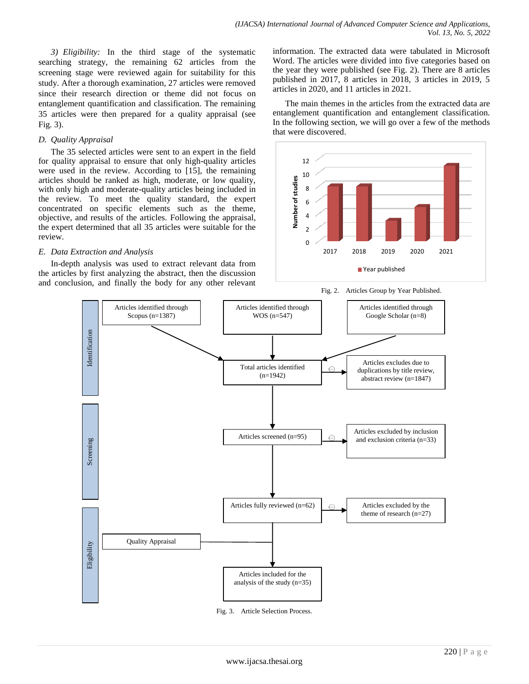*3) Eligibility:* In the third stage of the systematic searching strategy, the remaining 62 articles from the screening stage were reviewed again for suitability for this study. After a thorough examination, 27 articles were removed since their research direction or theme did not focus on entanglement quantification and classification. The remaining 35 articles were then prepared for a quality appraisal (see Fig. 3).

## *D. Quality Appraisal*

The 35 selected articles were sent to an expert in the field for quality appraisal to ensure that only high-quality articles were used in the review. According to [15], the remaining articles should be ranked as high, moderate, or low quality, with only high and moderate-quality articles being included in the review. To meet the quality standard, the expert concentrated on specific elements such as the theme, objective, and results of the articles. Following the appraisal, the expert determined that all 35 articles were suitable for the review.

# *E. Data Extraction and Analysis*

In-depth analysis was used to extract relevant data from the articles by first analyzing the abstract, then the discussion and conclusion, and finally the body for any other relevant information. The extracted data were tabulated in Microsoft Word. The articles were divided into five categories based on the year they were published (see Fig. 2). There are 8 articles published in 2017, 8 articles in 2018, 3 articles in 2019, 5 articles in 2020, and 11 articles in 2021.

The main themes in the articles from the extracted data are entanglement quantification and entanglement classification. In the following section, we will go over a few of the methods that were discovered.



Fig. 2. Articles Group by Year Published.



Fig. 3. Article Selection Process.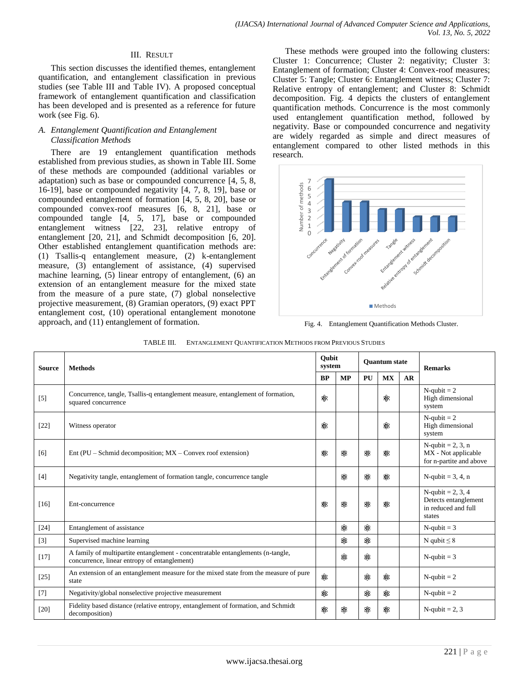#### III. RESULT

This section discusses the identified themes, entanglement quantification, and entanglement classification in previous studies (see Table III and Table IV). A proposed conceptual framework of entanglement quantification and classification has been developed and is presented as a reference for future work (see Fig. 6).

## *A. Entanglement Quantification and Entanglement Classification Methods*

There are 19 entanglement quantification methods established from previous studies, as shown in Table III. Some of these methods are compounded (additional variables or adaptation) such as base or compounded concurrence [4, 5, 8, 16-19], base or compounded negativity [4, 7, 8, 19], base or compounded entanglement of formation [4, 5, 8, 20], base or compounded convex-roof measures [6, 8, 21], base or compounded tangle [4, 5, 17], base or compounded entanglement witness [22, 23], relative entropy of entanglement [20, 21], and Schmidt decomposition [6, 20]. Other established entanglement quantification methods are: (1) Tsallis-q entanglement measure, (2) k-entanglement measure, (3) entanglement of assistance, (4) supervised machine learning, (5) linear entropy of entanglement, (6) an extension of an entanglement measure for the mixed state from the measure of a pure state, (7) global nonselective projective measurement, (8) Gramian operators, (9) exact PPT entanglement cost, (10) operational entanglement monotone approach, and (11) entanglement of formation.

These methods were grouped into the following clusters: Cluster 1: Concurrence; Cluster 2: negativity; Cluster 3: Entanglement of formation; Cluster 4: Convex-roof measures; Cluster 5: Tangle; Cluster 6: Entanglement witness; Cluster 7: Relative entropy of entanglement; and Cluster 8: Schmidt decomposition. Fig. 4 depicts the clusters of entanglement quantification methods. Concurrence is the most commonly used entanglement quantification method, followed by negativity. Base or compounded concurrence and negativity are widely regarded as simple and direct measures of entanglement compared to other listed methods in this research.



Fig. 4. Entanglement Quantification Methods Cluster.

| TABLE III. | ENTANGLEMENT QUANTIFICATION METHODS FROM PREVIOUS STUDIES |
|------------|-----------------------------------------------------------|
|------------|-----------------------------------------------------------|

| <b>Source</b> | <b>Methods</b>                                                                                                                  |    | Oubit<br>system |    | <b>Ouantum state</b> |    | <b>Remarks</b>                                                             |  |
|---------------|---------------------------------------------------------------------------------------------------------------------------------|----|-----------------|----|----------------------|----|----------------------------------------------------------------------------|--|
|               |                                                                                                                                 |    | <b>MP</b>       | PU | MX                   | AR |                                                                            |  |
| $[5]$         | Concurrence, tangle, Tsallis-q entanglement measure, entanglement of formation,<br>squared concurrence                          | \$ |                 |    | 88                   |    | $N$ -qubit = 2<br>High dimensional<br>system                               |  |
| $[22]$        | Witness operator                                                                                                                | 88 |                 |    | ✿                    |    | $N$ -qubit = 2<br>High dimensional<br>system                               |  |
| [6]           | Ent (PU – Schmid decomposition; $MX$ – Convex roof extension)                                                                   | 88 | Տ               | \$ | ଛ                    |    | $N$ -qubit = 2, 3, n<br>MX - Not applicable<br>for n-partite and above     |  |
| $[4]$         | Negativity tangle, entanglement of formation tangle, concurrence tangle                                                         |    | ଛ               | ✿  | 88                   |    | N-qubit = $3, 4, n$                                                        |  |
| $[16]$        | Ent-concurrence                                                                                                                 | \$ | \$              | ✿  | 88                   |    | N-qubit = 2, 3, 4<br>Detects entanglement<br>in reduced and full<br>states |  |
| $[24]$        | Entanglement of assistance                                                                                                      |    | ଛ               | ❀  |                      |    | $N$ -qubit = 3                                                             |  |
| $[3]$         | Supervised machine learning                                                                                                     |    | ✿               | \$ |                      |    | N qubit $\leq 8$                                                           |  |
| $[17]$        | A family of multipartite entanglement - concentratable entanglements (n-tangle,<br>concurrence, linear entropy of entanglement) |    | ଛ               | \$ |                      |    | $N$ -qubit = 3                                                             |  |
| $[25]$        | An extension of an entanglement measure for the mixed state from the measure of pure<br>state                                   | ଛ  |                 | ଛ≳ | ଛ                    |    | $N$ -qubit = 2                                                             |  |
| $[7]$         | Negativity/global nonselective projective measurement                                                                           | ✿  |                 | ✿  | ✿                    |    | $N$ -qubit = 2                                                             |  |
| $[20]$        | Fidelity based distance (relative entropy, entanglement of formation, and Schmidt<br>decomposition)                             | ✿  | ❀               | ✿  | ଛ≳                   |    | N-qubit = $2, 3$                                                           |  |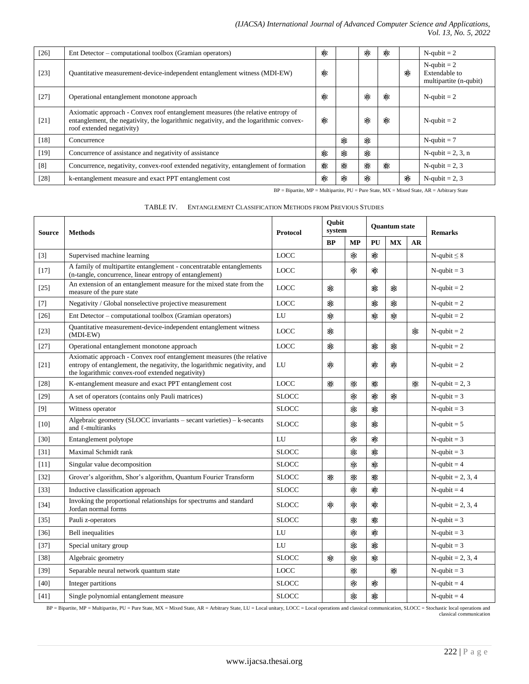## *(IJACSA) International Journal of Advanced Computer Science and Applications, Vol. 13, No. 5, 2022*

| $[26]$ | Ent Detector – computational toolbox (Gramian operators)                                                                                                                                              | ଛ |   | ଛ   | ✿  |    | $N$ -qubit = 2                                            |
|--------|-------------------------------------------------------------------------------------------------------------------------------------------------------------------------------------------------------|---|---|-----|----|----|-----------------------------------------------------------|
| $[23]$ | Quantitative measurement-device-independent entanglement witness (MDI-EW)                                                                                                                             | ✿ |   |     |    | \$ | $N$ -qubit = 2<br>Extendable to<br>multipartite (n-qubit) |
| $[27]$ | Operational entanglement monotone approach                                                                                                                                                            | ଛ |   | ✿   | ✿  |    | $N$ -qubit = 2                                            |
| $[21]$ | Axiomatic approach - Convex roof entanglement measures (the relative entropy of<br>entanglement, the negativity, the logarithmic negativity, and the logarithmic convex-<br>roof extended negativity) | ଛ |   | \$≸ | ଛ≳ |    | $N$ -qubit = 2                                            |
| $[18]$ | Concurrence                                                                                                                                                                                           |   | ଛ | ✿   |    |    | $N$ -qubit = 7                                            |
| $[19]$ | Concurrence of assistance and negativity of assistance                                                                                                                                                | ✿ | ଛ | ଛ   |    |    | N-qubit = $2, 3, n$                                       |
| [8]    | Concurrence, negativity, convex-roof extended negativity, entanglement of formation                                                                                                                   | ✿ | ✿ | ❀   | ଛ  |    | N-qubit = $2, 3$                                          |
| $[28]$ | k-entanglement measure and exact PPT entanglement cost                                                                                                                                                | ✿ | ଛ | ❀   |    | ଛ  | N-qubit = $2, 3$                                          |

 $\mbox{BP} = \mbox{Bipartite, MP} = \mbox{Multipartite, PU} = \mbox{Pure State, MX} = \mbox{Mixed State, AR} = \mbox{Arbitrary State}$ 

| TABLE IV. | ENTANGLEMENT CLASSIFICATION METHODS FROM PREVIOUS STUDIES |
|-----------|-----------------------------------------------------------|
|           |                                                           |

| <b>Source</b> | <b>Methods</b>                                                                                                                                                                                       | <b>Protocol</b> | Qubit<br>system |           | <b>Ouantum state</b> |           |           | <b>Remarks</b>      |
|---------------|------------------------------------------------------------------------------------------------------------------------------------------------------------------------------------------------------|-----------------|-----------------|-----------|----------------------|-----------|-----------|---------------------|
|               |                                                                                                                                                                                                      |                 | BP              | <b>MP</b> | PU                   | <b>MX</b> | <b>AR</b> |                     |
| $[3]$         | Supervised machine learning                                                                                                                                                                          | <b>LOCC</b>     |                 | ✿         | ❀                    |           |           | N-qubit $\leq 8$    |
| $[17]$        | A family of multipartite entanglement - concentratable entanglements<br>(n-tangle, concurrence, linear entropy of entanglement)                                                                      | <b>LOCC</b>     |                 | ✿         | \$\$                 |           |           | $N$ -qubit = 3      |
| $[25]$        | An extension of an entanglement measure for the mixed state from the<br>measure of the pure state                                                                                                    | <b>LOCC</b>     | ଛ               |           | ଛ                    | ଛ         |           | $N$ -qubit = 2      |
| $[7]$         | Negativity / Global nonselective projective measurement                                                                                                                                              | <b>LOCC</b>     | ଛ               |           | ଛ                    | ଛ         |           | $N$ -qubit = 2      |
| $[26]$        | Ent Detector – computational toolbox (Gramian operators)                                                                                                                                             | LU              | ✿               |           | 88                   | \$        |           | $N$ -qubit = 2      |
| $[23]$        | Quantitative measurement-device-independent entanglement witness<br>(MDI-EW)                                                                                                                         | <b>LOCC</b>     | ✿               |           |                      |           | ଛ         | $N$ -qubit = 2      |
| $[27]$        | Operational entanglement monotone approach                                                                                                                                                           | <b>LOCC</b>     | ଛ               |           | ✿                    | ✿         |           | $N$ -qubit = 2      |
| $[21]$        | Axiomatic approach - Convex roof entanglement measures (the relative<br>entropy of entanglement, the negativity, the logarithmic negativity, and<br>the logarithmic convex-roof extended negativity) | LU              | ଛ               |           | ଛ                    | ଛ         |           | $N$ -qubit = 2      |
| [28]          | K-entanglement measure and exact PPT entanglement cost                                                                                                                                               | <b>LOCC</b>     | ✿               | ଛ≵        | ଛ≵                   |           | ❀         | $N$ -qubit = 2, 3   |
| $[29]$        | A set of operators (contains only Pauli matrices)                                                                                                                                                    | <b>SLOCC</b>    |                 | \$\$      | Տ                    | ଛ         |           | $N$ -qubit = 3      |
| $[9]$         | Witness operator                                                                                                                                                                                     | <b>SLOCC</b>    |                 | ✿         | ✿                    |           |           | $N$ -qubit = 3      |
| $[10]$        | Algebraic geometry (SLOCC invariants $-$ secant varieties) $-$ k-secants<br>and $\ell$ -multiranks                                                                                                   | <b>SLOCC</b>    |                 | \$₿       | ✿                    |           |           | $N$ -qubit = 5      |
| $[30]$        | Entanglement polytope                                                                                                                                                                                | LI              |                 | \$\$      | SB.                  |           |           | $N$ -qubit = 3      |
| $[31]$        | Maximal Schmidt rank                                                                                                                                                                                 | <b>SLOCC</b>    |                 | ଛ         | ଛ                    |           |           | $N$ -qubit = 3      |
| $[11]$        | Singular value decomposition                                                                                                                                                                         | <b>SLOCC</b>    |                 | \$        | \$                   |           |           | $N$ -qubit = 4      |
| $[32]$        | Grover's algorithm, Shor's algorithm, Quantum Fourier Transform                                                                                                                                      | <b>SLOCC</b>    | 88              | \$\$      | \$B                  |           |           | N-qubit = 2, 3, 4   |
| $[33]$        | Inductive classification approach                                                                                                                                                                    | <b>SLOCC</b>    |                 | \$\$      | \$β                  |           |           | $N$ -qubit = 4      |
| $[34]$        | Invoking the proportional relationships for spectrums and standard<br>Jordan normal forms                                                                                                            | <b>SLOCC</b>    | ଛ               | ✿         | ଛ                    |           |           | N-qubit = 2, 3, 4   |
| $[35]$        | Pauli z-operators                                                                                                                                                                                    | <b>SLOCC</b>    |                 | ✿         | ଛ                    |           |           | $N$ -qubit = 3      |
| $[36]$        | <b>Bell</b> inequalities                                                                                                                                                                             | LU              |                 | ✿         | ଛ                    |           |           | $N$ -qubit = 3      |
| $[37]$        | Special unitary group                                                                                                                                                                                | LU              |                 | ଛ≵        | ✿                    |           |           | $N$ -qubit = 3      |
| $[38]$        | Algebraic geometry                                                                                                                                                                                   | <b>SLOCC</b>    | ଛ≵              | ଛ≵        | ✿                    |           |           | N-qubit = $2, 3, 4$ |
| $[39]$        | Separable neural network quantum state                                                                                                                                                               | <b>LOCC</b>     |                 | ✿         |                      | ଛ         |           | $N$ -qubit = 3      |
| $[40]$        | Integer partitions                                                                                                                                                                                   | <b>SLOCC</b>    |                 | ଛ         | ✿                    |           |           | $N$ -qubit = 4      |
| [41]          | Single polynomial entanglement measure                                                                                                                                                               | <b>SLOCC</b>    |                 | ଛ         | ✿                    |           |           | $N$ -qubit = 4      |

BP = Bipartite, MP = Multipartite, PU = Pure State, MX = Mixed State, AR = Arbitrary State, LU = Local unitary, LOCC = Local operations and classical communication, SLOCC = Stochastic local operations and classical communi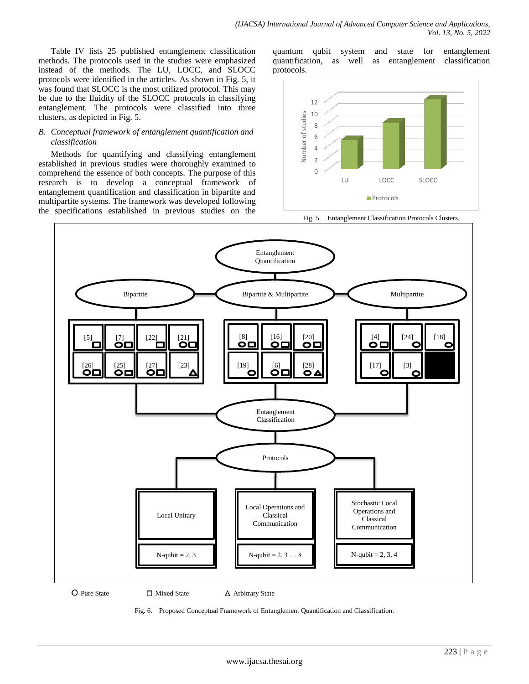Table IV lists 25 published entanglement classification methods. The protocols used in the studies were emphasized instead of the methods. The LU, LOCC, and SLOCC protocols were identified in the articles. As shown in Fig. 5, it was found that SLOCC is the most utilized protocol. This may be due to the fluidity of the SLOCC protocols in classifying entanglement. The protocols were classified into three clusters, as depicted in Fig. 5.

# *B. Conceptual framework of entanglement quantification and classification*

Methods for quantifying and classifying entanglement established in previous studies were thoroughly examined to comprehend the essence of both concepts. The purpose of this research is to develop a conceptual framework of entanglement quantification and classification in bipartite and multipartite systems. The framework was developed following the specifications established in previous studies on the

quantum qubit system and state for entanglement quantification, as well as entanglement classification protocols.



Fig. 5. Entanglement Classification Protocols Clusters.



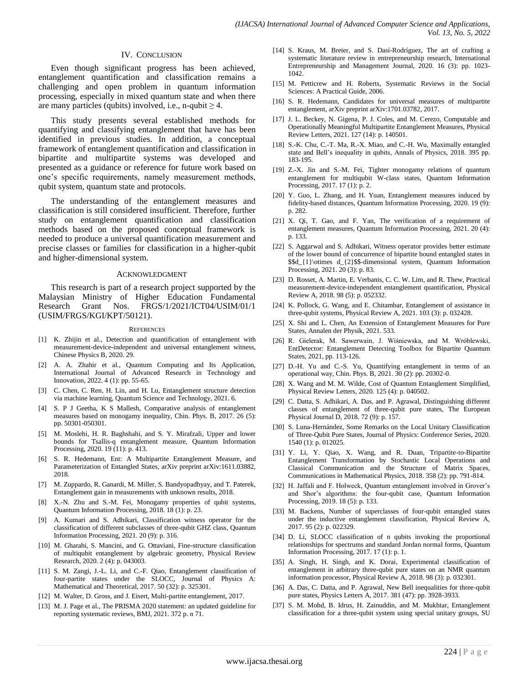#### IV. CONCLUSION

Even though significant progress has been achieved, entanglement quantification and classification remains a challenging and open problem in quantum information processing, especially in mixed quantum state and when there are many particles (qubits) involved, i.e., n-qubit  $\geq 4$ .

This study presents several established methods for quantifying and classifying entanglement that have has been identified in previous studies. In addition, a conceptual framework of entanglement quantification and classification in bipartite and multipartite systems was developed and presented as a guidance or reference for future work based on one's specific requirements, namely measurement methods, qubit system, quantum state and protocols.

The understanding of the entanglement measures and classification is still considered insufficient. Therefore, further study on entanglement quantification and classification methods based on the proposed conceptual framework is needed to produce a universal quantification measurement and precise classes or families for classification in a higher-qubit and higher-dimensional system.

#### ACKNOWLEDGMENT

This research is part of a research project supported by the Malaysian Ministry of Higher Education Fundamental Research Grant Nos. FRGS/1/2021/ICT04/USIM/01/1 (USIM/FRGS/KGI/KPT/50121).

#### **REFERENCES**

- [1] K. Zhijin et al., Detection and quantification of entanglement with measurement-device-independent and universal entanglement witness, Chinese Physics B, 2020. 29.
- [2] A. A. Zhahir et al., Quantum Computing and Its Application, International Journal of Advanced Research in Technology and Innovation, 2022. 4 (1): pp. 55-65.
- [3] C. Chen, C. Ren, H. Lin, and H. Lu, Entanglement structure detection via machine learning, Quantum Science and Technology, 2021. 6.
- [4] S. P J Geetha, K S Mallesh, Comparative analysis of entanglement measures based on monogamy inequality, Chin. Phys. B, 2017. 26 (5): pp. 50301-050301.
- [5] M. Moslehi, H. R. Baghshahi, and S. Y. Mirafzali, Upper and lower bounds for Tsallis-q entanglement measure, Quantum Information Processing, 2020. 19 (11): p. 413.
- [6] S. R. Hedemann, Ent: A Multipartite Entanglement Measure, and Parameterization of Entangled States, arXiv preprint arXiv:1611.03882, 2018.
- [7] M. Zuppardo, R. Ganardi, M. Miller, S. Bandyopadhyay, and T. Paterek, Entanglement gain in measurements with unknown results, 2018.
- [8] X.-N. Zhu and S.-M. Fei, Monogamy properties of qubit systems, Quantum Information Processing, 2018. 18 (1): p. 23.
- [9] A. Kumari and S. Adhikari, Classification witness operator for the classification of different subclasses of three-qubit GHZ class, Quantum Information Processing, 2021. 20 (9): p. 316.
- [10] M. Gharahi, S. Mancini, and G. Ottaviani, Fine-structure classification of multiqubit entanglement by algebraic geometry, Physical Review Research, 2020. 2 (4): p. 043003.
- [11] S. M. Zangi, J.-L. Li, and C.-F. Qiao, Entanglement classification of four-partite states under the SLOCC, Journal of Physics A: Mathematical and Theoretical, 2017. 50 (32): p. 325301.
- [12] M. Walter, D. Gross, and J. Eisert, Multi-partite entanglement, 2017.
- [13] M. J. Page et al., The PRISMA 2020 statement: an updated guideline for reporting systematic reviews, BMJ, 2021. 372 p. n 71.
- [14] S. Kraus, M. Breier, and S. Dasí-Rodríguez, The art of crafting a systematic literature review in entrepreneurship research, International Entrepreneurship and Management Journal, 2020. 16 (3): pp. 1023- 1042.
- [15] M. Petticrew and H. Roberts, Systematic Reviews in the Social Sciences: A Practical Guide, 2006.
- [16] S. R. Hedemann, Candidates for universal measures of multipartite entanglement, arXiv preprint arXiv:1701.03782, 2017.
- [17] J. L. Beckey, N. Gigena, P. J. Coles, and M. Cerezo, Computable and Operationally Meaningful Multipartite Entanglement Measures, Physical Review Letters, 2021. 127 (14): p. 140501.
- [18] S.-K. Chu, C.-T. Ma, R.-X. Miao, and C.-H. Wu, Maximally entangled state and Bell's inequality in qubits, Annals of Physics, 2018. 395 pp. 183-195.
- [19] Z.-X. Jin and S.-M. Fei, Tighter monogamy relations of quantum entanglement for multiqubit W-class states, Quantum Information Processing, 2017. 17 (1): p. 2.
- [20] Y. Guo, L. Zhang, and H. Yuan, Entanglement measures induced by fidelity-based distances, Quantum Information Processing, 2020. 19 (9): p. 282.
- [21] X. Qi, T. Gao, and F. Yan, The verification of a requirement of entanglement measures, Quantum Information Processing, 2021. 20 (4): p. 133.
- [22] S. Aggarwal and S. Adhikari, Witness operator provides better estimate of the lower bound of concurrence of bipartite bound entangled states in \$\$d\_{1}\otimes d\_{2}\$\$-dimensional system, Quantum Information Processing, 2021. 20 (3): p. 83.
- [23] D. Rosset, A. Martin, E. Verbanis, C. C. W. Lim, and R. Thew, Practical measurement-device-independent entanglement quantification, Physical Review A, 2018. 98 (5): p. 052332.
- [24] K. Pollock, G. Wang, and E. Chitambar, Entanglement of assistance in three-qubit systems, Physical Review A, 2021. 103 (3): p. 032428.
- [25] X. Shi and L. Chen, An Extension of Entanglement Measures for Pure States, Annalen der Physik, 2021. 533.
- [26] R. Gielerak, M. Sawerwain, J. Wiśniewska, and M. Wróblewski, EntDetector: Entanglement Detecting Toolbox for Bipartite Quantum States, 2021, pp. 113-126.
- [27] D.-H. Yu and C.-S. Yu, Quantifying entanglement in terms of an operational way, Chin. Phys. B, 2021. 30 (2): pp. 20302-0.
- [28] X. Wang and M. M. Wilde, Cost of Quantum Entanglement Simplified, Physical Review Letters, 2020. 125 (4): p. 040502.
- [29] C. Datta, S. Adhikari, A. Das, and P. Agrawal, Distinguishing different classes of entanglement of three-qubit pure states, The European Physical Journal D, 2018. 72 (9): p. 157.
- [30] S. Luna-Hernández, Some Remarks on the Local Unitary Classification of Three-Qubit Pure States, Journal of Physics: Conference Series, 2020. 1540 (1): p. 012025.
- [31] Y. Li, Y. Qiao, X. Wang, and R. Duan, Tripartite-to-Bipartite Entanglement Transformation by Stochastic Local Operations and Classical Communication and the Structure of Matrix Spaces, Communications in Mathematical Physics, 2018. 358 (2): pp. 791-814.
- [32] H. Jaffali and F. Holweck, Quantum entanglement involved in Grover's and Shor's algorithms: the four-qubit case, Quantum Information Processing, 2019. 18 (5): p. 133.
- [33] M. Backens, Number of superclasses of four-qubit entangled states under the inductive entanglement classification, Physical Review A, 2017. 95 (2): p. 022329.
- [34] D. Li, SLOCC classification of n qubits invoking the proportional relationships for spectrums and standard Jordan normal forms, Quantum Information Processing, 2017. 17 (1): p. 1.
- [35] A. Singh, H. Singh, and K. Dorai, Experimental classification of entanglement in arbitrary three-qubit pure states on an NMR quantum information processor, Physical Review A, 2018. 98 (3): p. 032301.
- [36] A. Das, C. Datta, and P. Agrawal, New Bell inequalities for three-qubit pure states, Physics Letters A, 2017. 381 (47): pp. 3928-3933.
- [37] S. M. Mohd, B. Idrus, H. Zainuddin, and M. Mukhtar, Entanglement classification for a three-qubit system using special unitary groups, SU